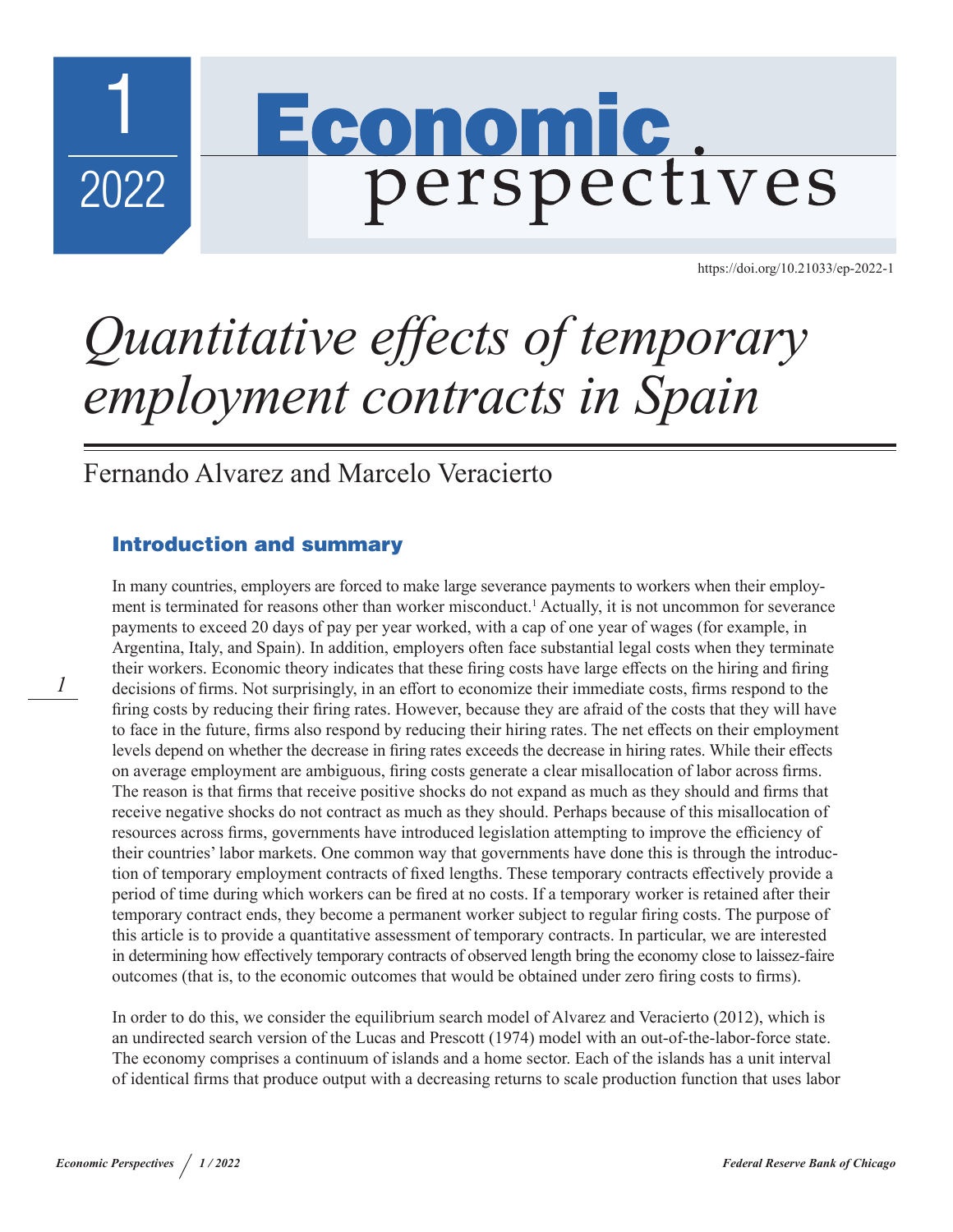

*1*

[https://doi.org/10.21033/ep-2022-](https://doi.org/10.21033/ep-2022-1)1

# *Quantitative effects of temporary employment contracts in Spain*

Economic

perspectives

Fernando Alvarez and Marcelo Veracierto

## Introduction and summary

In many countries, employers are forced to make large severance payments to workers when their employment is terminated for reasons other than worker misconduct.<sup>1</sup> Actually, it is not uncommon for severance payments to exceed 20 days of pay per year worked, with a cap of one year of wages (for example, in Argentina, Italy, and Spain). In addition, employers often face substantial legal costs when they terminate their workers. Economic theory indicates that these firing costs have large effects on the hiring and firing decisions of firms. Not surprisingly, in an effort to economize their immediate costs, firms respond to the firing costs by reducing their firing rates. However, because they are afraid of the costs that they will have to face in the future, firms also respond by reducing their hiring rates. The net effects on their employment levels depend on whether the decrease in firing rates exceeds the decrease in hiring rates. While their effects on average employment are ambiguous, firing costs generate a clear misallocation of labor across firms. The reason is that firms that receive positive shocks do not expand as much as they should and firms that receive negative shocks do not contract as much as they should. Perhaps because of this misallocation of resources across firms, governments have introduced legislation attempting to improve the efficiency of their countries' labor markets. One common way that governments have done this is through the introduction of temporary employment contracts of fixed lengths. These temporary contracts effectively provide a period of time during which workers can be fired at no costs. If a temporary worker is retained after their temporary contract ends, they become a permanent worker subject to regular firing costs. The purpose of this article is to provide a quantitative assessment of temporary contracts. In particular, we are interested in determining how effectively temporary contracts of observed length bring the economy close to laissez-faire outcomes (that is, to the economic outcomes that would be obtained under zero firing costs to firms).

In order to do this, we consider the equilibrium search model of Alvarez and Veracierto (2012), which is an undirected search version of the Lucas and Prescott (1974) model with an out-of-the-labor-force state. The economy comprises a continuum of islands and a home sector. Each of the islands has a unit interval of identical firms that produce output with a decreasing returns to scale production function that uses labor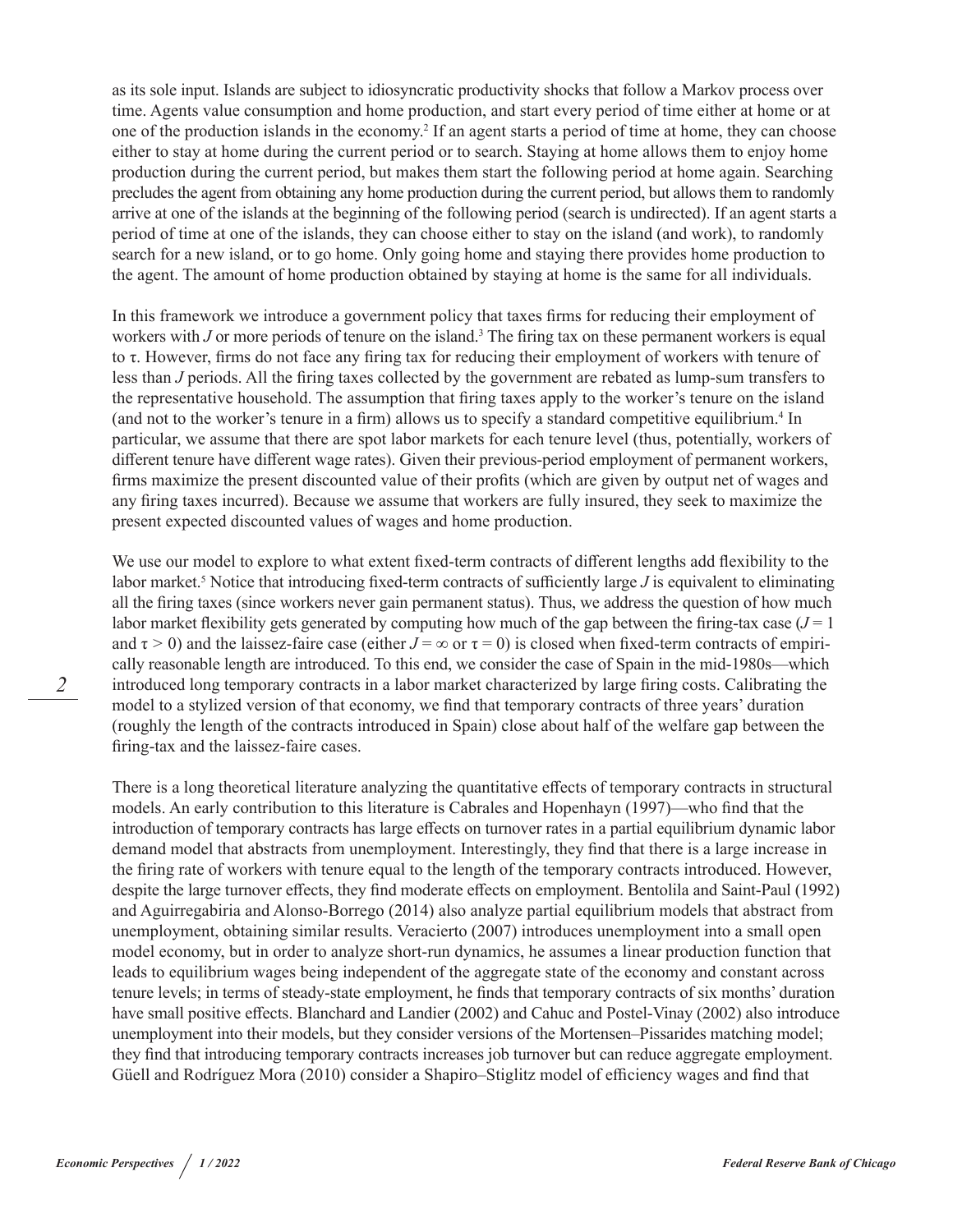as its sole input. Islands are subject to idiosyncratic productivity shocks that follow a Markov process over time. Agents value consumption and home production, and start every period of time either at home or at one of the production islands in the economy.<sup>2</sup> If an agent starts a period of time at home, they can choose either to stay at home during the current period or to search. Staying at home allows them to enjoy home production during the current period, but makes them start the following period at home again. Searching precludes the agent from obtaining any home production during the current period, but allows them to randomly arrive at one of the islands at the beginning of the following period (search is undirected). If an agent starts a period of time at one of the islands, they can choose either to stay on the island (and work), to randomly search for a new island, or to go home. Only going home and staying there provides home production to the agent. The amount of home production obtained by staying at home is the same for all individuals.

In this framework we introduce a government policy that taxes firms for reducing their employment of workers with *J* or more periods of tenure on the island.<sup>3</sup> The firing tax on these permanent workers is equal to τ. However, firms do not face any firing tax for reducing their employment of workers with tenure of less than *J* periods. All the firing taxes collected by the government are rebated as lump-sum transfers to the representative household. The assumption that firing taxes apply to the worker's tenure on the island (and not to the worker's tenure in a firm) allows us to specify a standard competitive equilibrium.<sup>4</sup> In particular, we assume that there are spot labor markets for each tenure level (thus, potentially, workers of different tenure have different wage rates). Given their previous-period employment of permanent workers, firms maximize the present discounted value of their profits (which are given by output net of wages and any firing taxes incurred). Because we assume that workers are fully insured, they seek to maximize the present expected discounted values of wages and home production.

We use our model to explore to what extent fixed-term contracts of different lengths add flexibility to the labor market.<sup>5</sup> Notice that introducing fixed-term contracts of sufficiently large *J* is equivalent to eliminating all the firing taxes (since workers never gain permanent status). Thus, we address the question of how much labor market flexibility gets generated by computing how much of the gap between the firing-tax case  $(J = 1)$ and  $\tau > 0$ ) and the laissez-faire case (either  $J = \infty$  or  $\tau = 0$ ) is closed when fixed-term contracts of empirically reasonable length are introduced. To this end, we consider the case of Spain in the mid-1980s—which introduced long temporary contracts in a labor market characterized by large firing costs. Calibrating the model to a stylized version of that economy, we find that temporary contracts of three years' duration (roughly the length of the contracts introduced in Spain) close about half of the welfare gap between the firing-tax and the laissez-faire cases.

There is a long theoretical literature analyzing the quantitative effects of temporary contracts in structural models. An early contribution to this literature is Cabrales and Hopenhayn (1997)—who find that the introduction of temporary contracts has large effects on turnover rates in a partial equilibrium dynamic labor demand model that abstracts from unemployment. Interestingly, they find that there is a large increase in the firing rate of workers with tenure equal to the length of the temporary contracts introduced. However, despite the large turnover effects, they find moderate effects on employment. Bentolila and Saint-Paul (1992) and Aguirregabiria and Alonso-Borrego (2014) also analyze partial equilibrium models that abstract from unemployment, obtaining similar results. Veracierto (2007) introduces unemployment into a small open model economy, but in order to analyze short-run dynamics, he assumes a linear production function that leads to equilibrium wages being independent of the aggregate state of the economy and constant across tenure levels; in terms of steady-state employment, he finds that temporary contracts of six months' duration have small positive effects. Blanchard and Landier (2002) and Cahuc and Postel-Vinay (2002) also introduce unemployment into their models, but they consider versions of the Mortensen–Pissarides matching model; they find that introducing temporary contracts increases job turnover but can reduce aggregate employment. Güell and Rodríguez Mora (2010) consider a Shapiro–Stiglitz model of efficiency wages and find that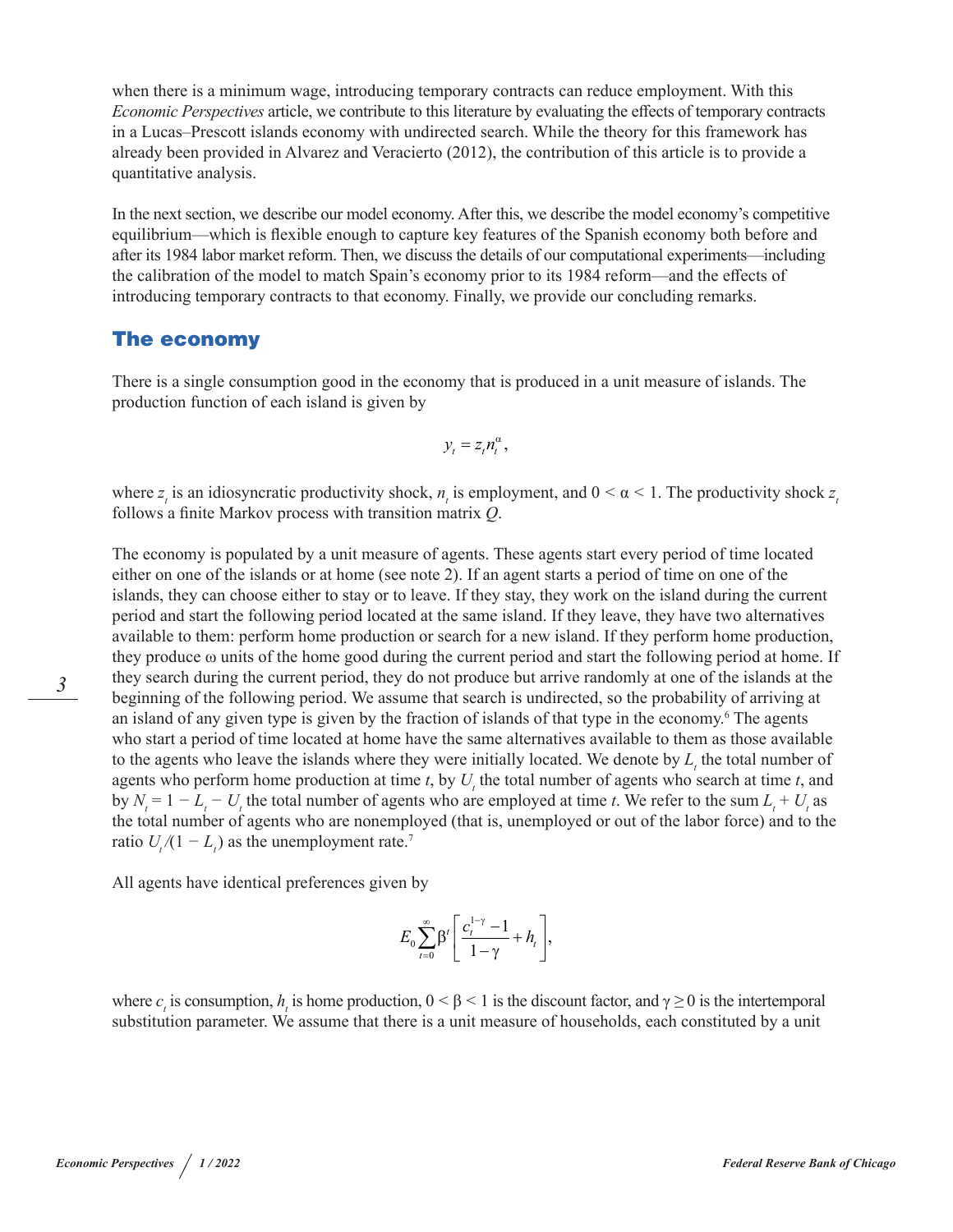when there is a minimum wage, introducing temporary contracts can reduce employment. With this *Economic Perspectives* article, we contribute to this literature by evaluating the effects of temporary contracts in a Lucas–Prescott islands economy with undirected search. While the theory for this framework has already been provided in Alvarez and Veracierto (2012), the contribution of this article is to provide a quantitative analysis.

In the next section, we describe our model economy. After this, we describe the model economy's competitive equilibrium—which is flexible enough to capture key features of the Spanish economy both before and after its 1984 labor market reform. Then, we discuss the details of our computational experiments—including the calibration of the model to match Spain's economy prior to its 1984 reform—and the effects of introducing temporary contracts to that economy. Finally, we provide our concluding remarks.

## The economy

There is a single consumption good in the economy that is produced in a unit measure of islands. The production function of each island is given by

$$
y_t = z_t n_t^{\alpha},
$$

where  $z<sub>i</sub>$  is an idiosyncratic productivity shock,  $n<sub>i</sub>$  is employment, and  $0 < \alpha < 1$ . The productivity shock  $z<sub>i</sub>$ follows a finite Markov process with transition matrix *Q*.

The economy is populated by a unit measure of agents. These agents start every period of time located either on one of the islands or at home (see note 2). If an agent starts a period of time on one of the islands, they can choose either to stay or to leave. If they stay, they work on the island during the current period and start the following period located at the same island. If they leave, they have two alternatives available to them: perform home production or search for a new island. If they perform home production, they produce ω units of the home good during the current period and start the following period at home. If they search during the current period, they do not produce but arrive randomly at one of the islands at the beginning of the following period. We assume that search is undirected, so the probability of arriving at an island of any given type is given by the fraction of islands of that type in the economy.<sup>6</sup> The agents who start a period of time located at home have the same alternatives available to them as those available to the agents who leave the islands where they were initially located. We denote by  $L<sub>t</sub>$ , the total number of agents who perform home production at time  $t$ , by  $U_t$ , the total number of agents who search at time  $t$ , and by  $N_t = 1 - L_t - U_t$  the total number of agents who are employed at time *t*. We refer to the sum  $L_t + U_t$  as the total number of agents who are nonemployed (that is, unemployed or out of the labor force) and to the ratio  $U_t/(1 - L_t)$  as the unemployment rate.<sup>7</sup>

All agents have identical preferences given by

$$
E_0\sum_{t=0}^{\infty}\beta^t\left[\frac{c_t^{1-\gamma}-1}{1-\gamma}+h_t\right],
$$

where  $c_t$  is consumption,  $h_t$  is home production,  $0 \le \beta \le 1$  is the discount factor, and  $\gamma \ge 0$  is the intertemporal substitution parameter. We assume that there is a unit measure of households, each constituted by a unit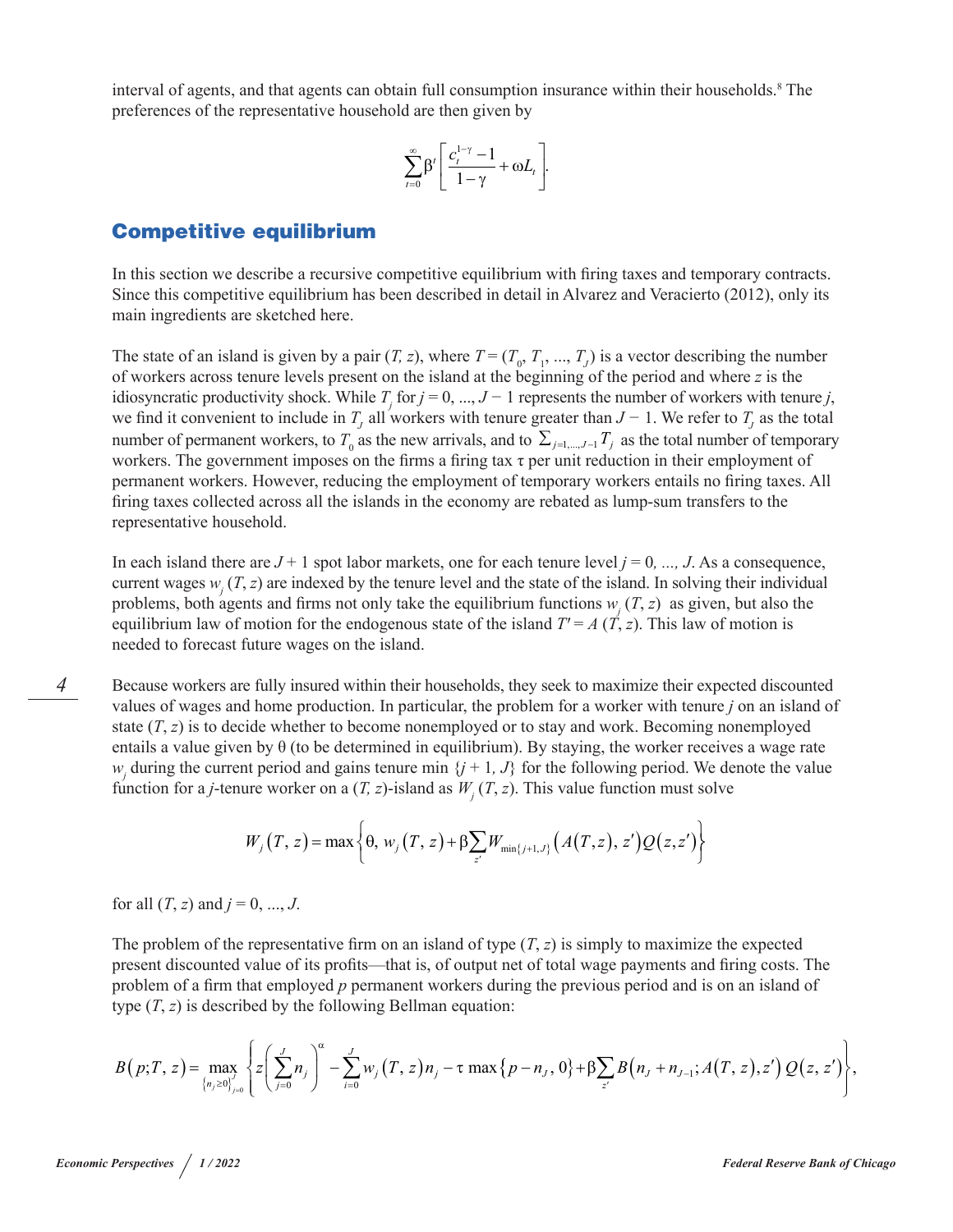interval of agents, and that agents can obtain full consumption insurance within their households.<sup>8</sup> The preferences of the representative household are then given by

$$
\sum_{t=0}^{\infty} \beta^t \left[ \frac{c_t^{1-\gamma} - 1}{1 - \gamma} + \omega L_t \right].
$$

### Competitive equilibrium

In this section we describe a recursive competitive equilibrium with firing taxes and temporary contracts. Since this competitive equilibrium has been described in detail in Alvarez and Veracierto (2012), only its main ingredients are sketched here.

The state of an island is given by a pair  $(T, z)$ , where  $T = (T_0, T_1, ..., T_J)$  is a vector describing the number of workers across tenure levels present on the island at the beginning of the period and where *z* is the idiosyncratic productivity shock. While  $T_i$  for  $j = 0, ..., J - 1$  represents the number of workers with tenure *j*, we find it convenient to include in  $T_j$  all workers with tenure greater than  $J-1$ . We refer to  $T_j$  as the total number of permanent workers, to  $T_0$  as the new arrivals, and to  $\sum_{j=1,\dots,J-1} T_j$  as the total number of temporary workers. The government imposes on the firms a firing tax τ per unit reduction in their employment of permanent workers. However, reducing the employment of temporary workers entails no firing taxes. All firing taxes collected across all the islands in the economy are rebated as lump-sum transfers to the representative household.

In each island there are  $J + 1$  spot labor markets, one for each tenure level  $j = 0, ..., J$ . As a consequence, current wages  $w_i$  (*T*, *z*) are indexed by the tenure level and the state of the island. In solving their individual problems, both agents and firms not only take the equilibrium functions  $w_i(T, z)$  as given, but also the equilibrium law of motion for the endogenous state of the island  $T = A(T, z)$ . This law of motion is needed to forecast future wages on the island.

Because workers are fully insured within their households, they seek to maximize their expected discounted values of wages and home production. In particular, the problem for a worker with tenure *j* on an island of state  $(T, z)$  is to decide whether to become nonemployed or to stay and work. Becoming nonemployed entails a value given by  $\theta$  (to be determined in equilibrium). By staying, the worker receives a wage rate *w*<sub>j</sub> during the current period and gains tenure min  $\{j + 1, J\}$  for the following period. We denote the value function for a *j*-tenure worker on a  $(T, z)$ -island as  $W<sub>i</sub>(T, z)$ . This value function must solve

$$
W_j(T, z) = \max \left\{ \theta, w_j(T, z) + \beta \sum_{z'} W_{\min\{j+1, J\}} \left( A(T, z), z' \right) Q(z, z') \right\}
$$

for all  $(T, z)$  and  $j = 0, ..., J$ .

The problem of the representative firm on an island of type  $(T, z)$  is simply to maximize the expected present discounted value of its profits—that is, of output net of total wage payments and firing costs. The problem of a firm that employed *p* permanent workers during the previous period and is on an island of type (*T*, *z*) is described by the following Bellman equation:

$$
B(p;T,z) = \max_{\{n_j \ge 0\}_{j=0}} \left\{ z \left( \sum_{j=0}^J n_j \right)^{\alpha} - \sum_{i=0}^J w_j (T,z) n_j - \tau \max \{p-n_j, 0\} + \beta \sum_{z'} B(n_j + n_{j-1}; A(T,z), z') Q(z, z') \right\},
$$

*4*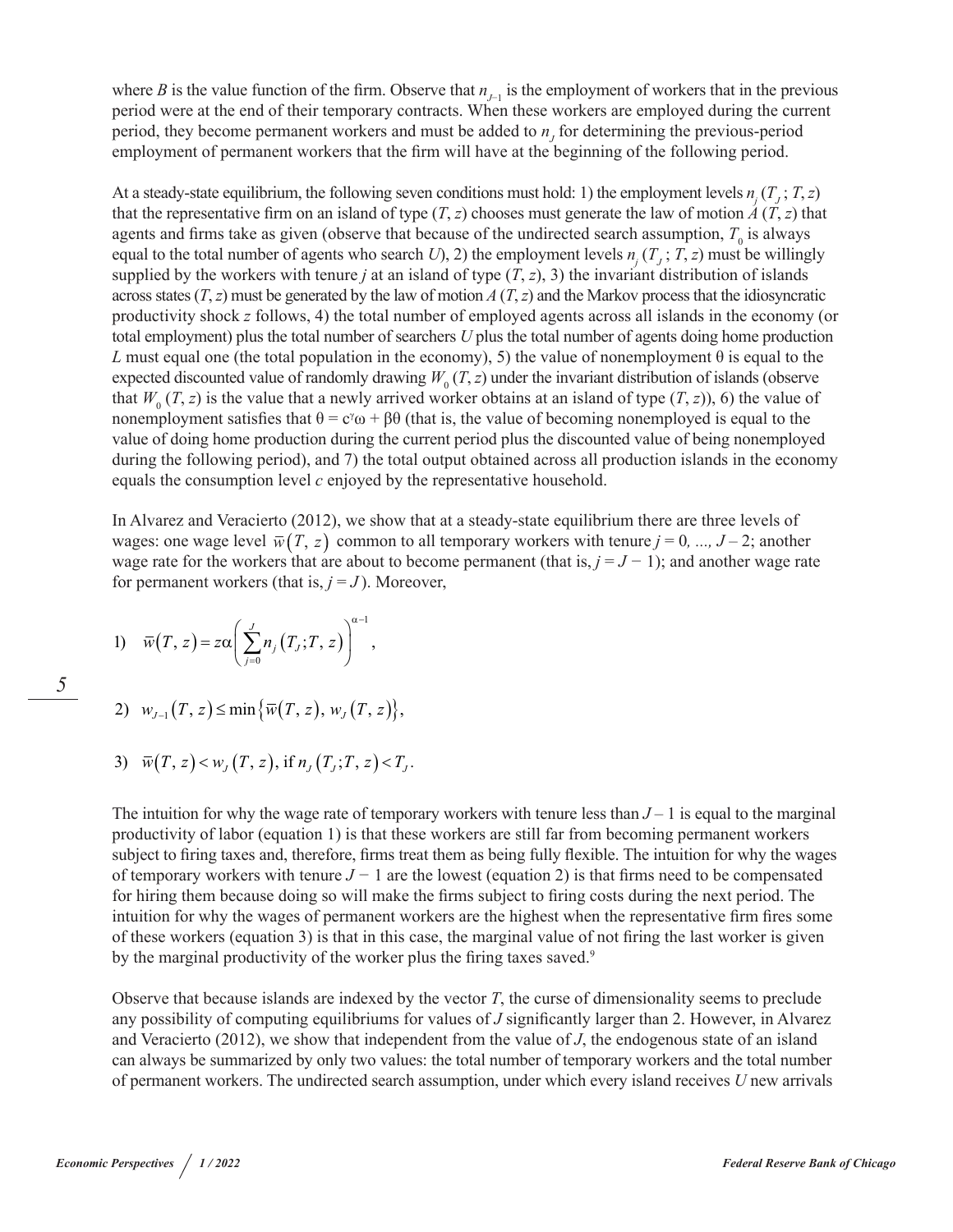where *B* is the value function of the firm. Observe that  $n_{j-1}$  is the employment of workers that in the previous period were at the end of their temporary contracts. When these workers are employed during the current period, they become permanent workers and must be added to  $n<sub>j</sub>$  for determining the previous-period employment of permanent workers that the firm will have at the beginning of the following period.

At a steady-state equilibrium, the following seven conditions must hold: 1) the employment levels  $n_j(T_j; T, z)$ that the representative firm on an island of type  $(T, z)$  chooses must generate the law of motion  $\vec{A}(T, z)$  that agents and firms take as given (observe that because of the undirected search assumption,  $T_0$  is always equal to the total number of agents who search *U*), 2) the employment levels  $n_i(T_i; T, z)$  must be willingly supplied by the workers with tenure *j* at an island of type  $(T, z)$ , 3) the invariant distribution of islands across states  $(T, z)$  must be generated by the law of motion  $A(T, z)$  and the Markov process that the idiosyncratic productivity shock *z* follows, 4) the total number of employed agents across all islands in the economy (or total employment) plus the total number of searchers *U* plus the total number of agents doing home production *L* must equal one (the total population in the economy), 5) the value of nonemployment  $\theta$  is equal to the expected discounted value of randomly drawing  $W_0(T, z)$  under the invariant distribution of islands (observe that  $W_0(T, z)$  is the value that a newly arrived worker obtains at an island of type  $(T, z)$ ), 6) the value of nonemployment satisfies that  $\theta = c^{\gamma}\omega + \beta\theta$  (that is, the value of becoming nonemployed is equal to the value of doing home production during the current period plus the discounted value of being nonemployed during the following period), and 7) the total output obtained across all production islands in the economy equals the consumption level *c* enjoyed by the representative household.

In Alvarez and Veracierto (2012), we show that at a steady-state equilibrium there are three levels of wages: one wage level  $\overline{w}(T, z)$  common to all temporary workers with tenure  $j = 0, ..., J-2$ ; another wage rate for the workers that are about to become permanent (that is,  $j = J - 1$ ); and another wage rate for permanent workers (that is,  $j = J$ ). Moreover,

1) 
$$
\overline{w}(T, z) = z\alpha \left( \sum_{j=0}^{J} n_j(T_j; T, z) \right)^{\alpha-1},
$$

2)  $w_{L_1}(T, z) \le \min{\{\overline{w}(T, z), w_{L}(T, z)\}},$ 

3) 
$$
\overline{w}(T, z) < w_J(T, z)
$$
, if  $n_J(T_J; T, z) < T_J$ .

The intuition for why the wage rate of temporary workers with tenure less than  $J - 1$  is equal to the marginal productivity of labor (equation 1) is that these workers are still far from becoming permanent workers subject to firing taxes and, therefore, firms treat them as being fully flexible. The intuition for why the wages of temporary workers with tenure *J −* 1 are the lowest (equation 2) is that firms need to be compensated for hiring them because doing so will make the firms subject to firing costs during the next period. The intuition for why the wages of permanent workers are the highest when the representative firm fires some of these workers (equation 3) is that in this case, the marginal value of not firing the last worker is given by the marginal productivity of the worker plus the firing taxes saved.<sup>9</sup>

Observe that because islands are indexed by the vector *T*, the curse of dimensionality seems to preclude any possibility of computing equilibriums for values of *J* significantly larger than 2. However, in Alvarez and Veracierto (2012), we show that independent from the value of *J*, the endogenous state of an island can always be summarized by only two values: the total number of temporary workers and the total number of permanent workers. The undirected search assumption, under which every island receives *U* new arrivals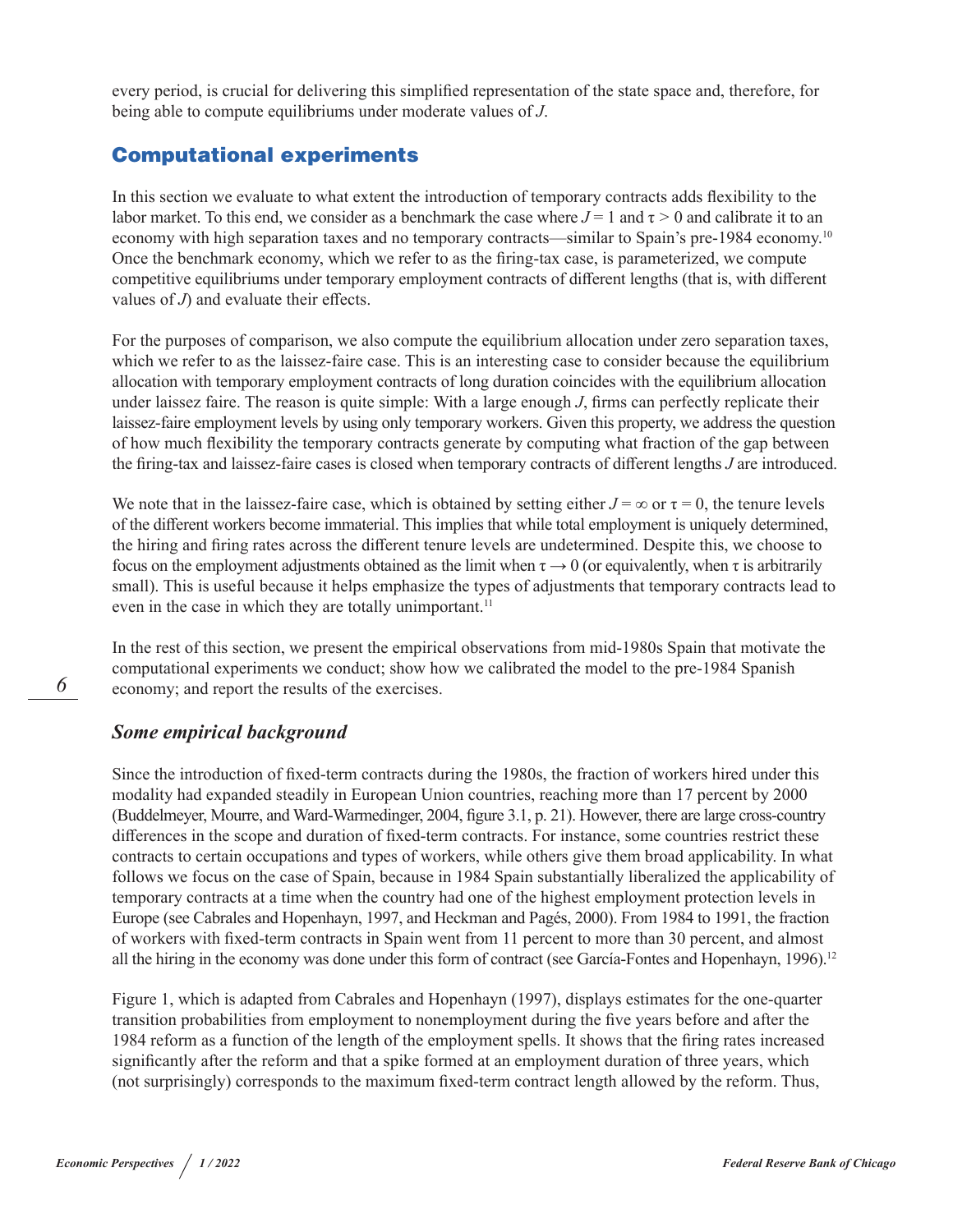every period, is crucial for delivering this simplified representation of the state space and, therefore, for being able to compute equilibriums under moderate values of *J*.

## Computational experiments

In this section we evaluate to what extent the introduction of temporary contracts adds flexibility to the labor market. To this end, we consider as a benchmark the case where  $J = 1$  and  $\tau > 0$  and calibrate it to an economy with high separation taxes and no temporary contracts—similar to Spain's pre-1984 economy.<sup>10</sup> Once the benchmark economy, which we refer to as the firing-tax case, is parameterized, we compute competitive equilibriums under temporary employment contracts of different lengths (that is, with different values of *J*) and evaluate their effects.

For the purposes of comparison, we also compute the equilibrium allocation under zero separation taxes, which we refer to as the laissez-faire case. This is an interesting case to consider because the equilibrium allocation with temporary employment contracts of long duration coincides with the equilibrium allocation under laissez faire. The reason is quite simple: With a large enough *J*, firms can perfectly replicate their laissez-faire employment levels by using only temporary workers. Given this property, we address the question of how much flexibility the temporary contracts generate by computing what fraction of the gap between the firing-tax and laissez-faire cases is closed when temporary contracts of different lengths *J* are introduced.

We note that in the laissez-faire case, which is obtained by setting either  $J = \infty$  or  $\tau = 0$ , the tenure levels of the different workers become immaterial. This implies that while total employment is uniquely determined, the hiring and firing rates across the different tenure levels are undetermined. Despite this, we choose to focus on the employment adjustments obtained as the limit when  $\tau \rightarrow 0$  (or equivalently, when  $\tau$  is arbitrarily small). This is useful because it helps emphasize the types of adjustments that temporary contracts lead to even in the case in which they are totally unimportant.<sup>11</sup>

In the rest of this section, we present the empirical observations from mid-1980s Spain that motivate the computational experiments we conduct; show how we calibrated the model to the pre-1984 Spanish economy; and report the results of the exercises.

## *Some empirical background*

Since the introduction of fixed-term contracts during the 1980s, the fraction of workers hired under this modality had expanded steadily in European Union countries, reaching more than 17 percent by 2000 (Buddelmeyer, Mourre, and Ward-Warmedinger, 2004, figure 3.1, p. 21). However, there are large cross-country differences in the scope and duration of fixed-term contracts. For instance, some countries restrict these contracts to certain occupations and types of workers, while others give them broad applicability. In what follows we focus on the case of Spain, because in 1984 Spain substantially liberalized the applicability of temporary contracts at a time when the country had one of the highest employment protection levels in Europe (see Cabrales and Hopenhayn, 1997, and Heckman and Pagés, 2000). From 1984 to 1991, the fraction of workers with fixed-term contracts in Spain went from 11 percent to more than 30 percent, and almost all the hiring in the economy was done under this form of contract (see García-Fontes and Hopenhayn, 1996).<sup>12</sup>

Figure 1, which is adapted from Cabrales and Hopenhayn (1997), displays estimates for the one-quarter transition probabilities from employment to nonemployment during the five years before and after the 1984 reform as a function of the length of the employment spells. It shows that the firing rates increased significantly after the reform and that a spike formed at an employment duration of three years, which (not surprisingly) corresponds to the maximum fixed-term contract length allowed by the reform. Thus,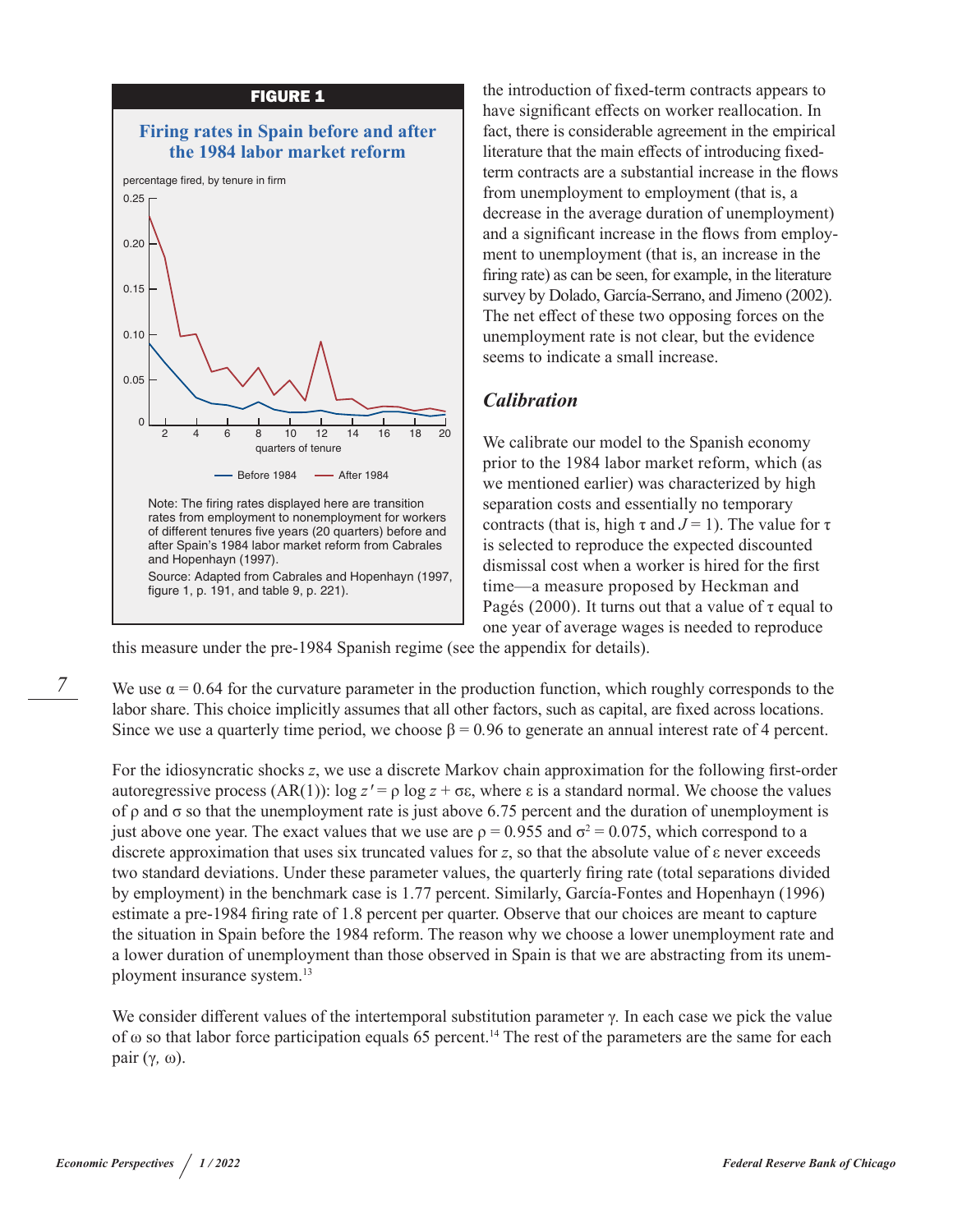

the introduction of fixed-term contracts appears to have significant effects on worker reallocation. In fact, there is considerable agreement in the empirical literature that the main effects of introducing fixedterm contracts are a substantial increase in the flows from unemployment to employment (that is, a decrease in the average duration of unemployment) and a significant increase in the flows from employment to unemployment (that is, an increase in the firing rate) as can be seen, for example, in the literature survey by Dolado, García-Serrano, and Jimeno (2002). The net effect of these two opposing forces on the unemployment rate is not clear, but the evidence seems to indicate a small increase.

## *Calibration*

We calibrate our model to the Spanish economy prior to the 1984 labor market reform, which (as we mentioned earlier) was characterized by high separation costs and essentially no temporary contracts (that is, high  $\tau$  and  $J = 1$ ). The value for  $\tau$ is selected to reproduce the expected discounted dismissal cost when a worker is hired for the first time—a measure proposed by Heckman and Pagés (2000). It turns out that a value of  $\tau$  equal to one year of average wages is needed to reproduce

this measure under the pre-1984 Spanish regime (see the appendix for details).

We use  $\alpha$  = 0.64 for the curvature parameter in the production function, which roughly corresponds to the labor share. This choice implicitly assumes that all other factors, such as capital, are fixed across locations. Since we use a quarterly time period, we choose  $\beta = 0.96$  to generate an annual interest rate of 4 percent.

For the idiosyncratic shocks *z*, we use a discrete Markov chain approximation for the following first-order autoregressive process (AR(1)):  $\log z' = \rho \log z + \sigma \epsilon$ , where  $\epsilon$  is a standard normal. We choose the values of ρ and σ so that the unemployment rate is just above 6.75 percent and the duration of unemployment is just above one year. The exact values that we use are  $\rho = 0.955$  and  $\sigma^2 = 0.075$ , which correspond to a discrete approximation that uses six truncated values for *z*, so that the absolute value of ε never exceeds two standard deviations. Under these parameter values, the quarterly firing rate (total separations divided by employment) in the benchmark case is 1.77 percent. Similarly, García-Fontes and Hopenhayn (1996) estimate a pre-1984 firing rate of 1.8 percent per quarter. Observe that our choices are meant to capture the situation in Spain before the 1984 reform. The reason why we choose a lower unemployment rate and a lower duration of unemployment than those observed in Spain is that we are abstracting from its unemployment insurance system.13

We consider different values of the intertemporal substitution parameter γ*.* In each case we pick the value of  $\omega$  so that labor force participation equals 65 percent.<sup>14</sup> The rest of the parameters are the same for each pair (γ*,* ω).

*7*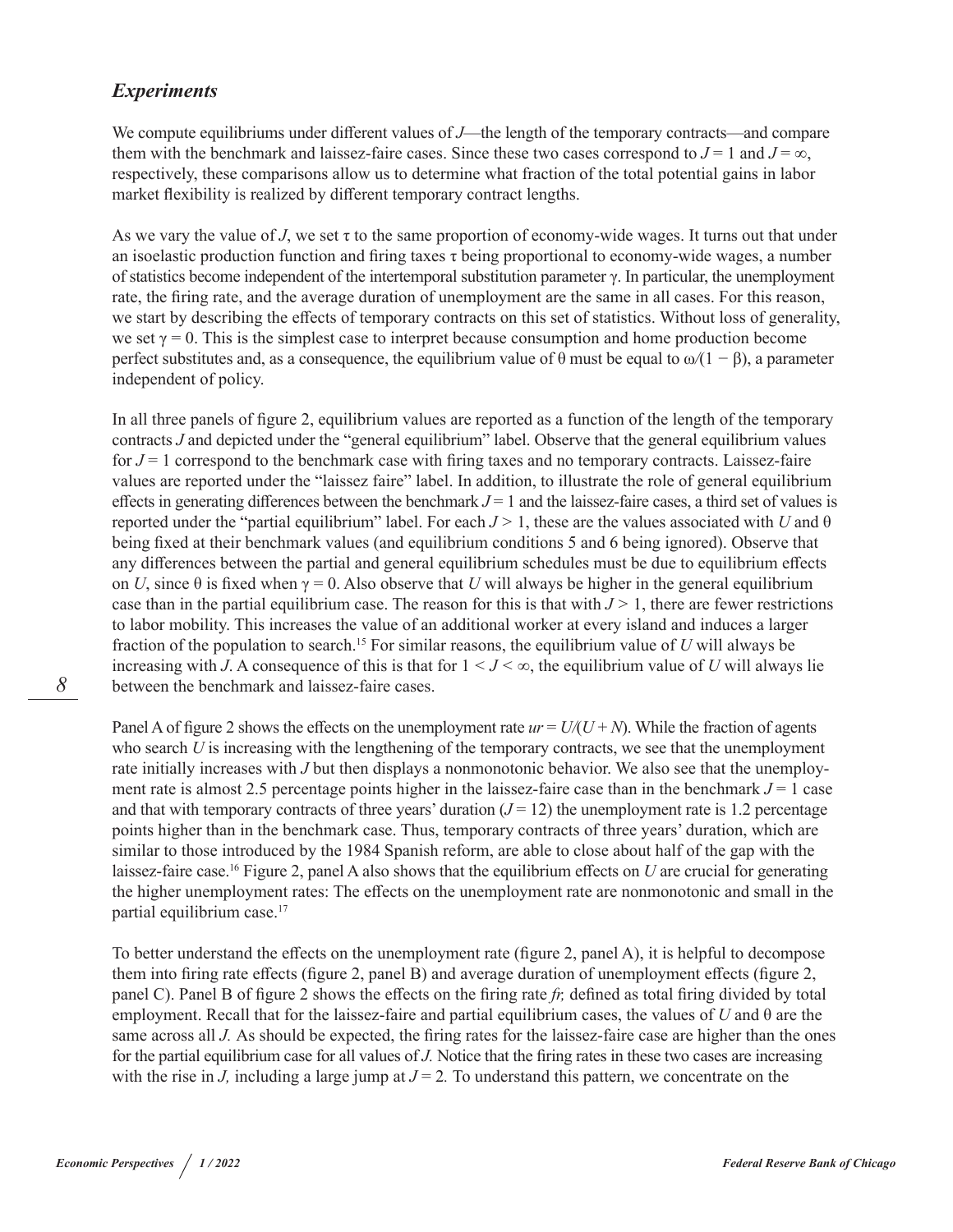## *Experiments*

We compute equilibriums under different values of *J*—the length of the temporary contracts—and compare them with the benchmark and laissez-faire cases. Since these two cases correspond to  $J = 1$  and  $J = \infty$ , respectively, these comparisons allow us to determine what fraction of the total potential gains in labor market flexibility is realized by different temporary contract lengths.

As we vary the value of *J*, we set  $\tau$  to the same proportion of economy-wide wages. It turns out that under an isoelastic production function and firing taxes τ being proportional to economy-wide wages, a number of statistics become independent of the intertemporal substitution parameter γ. In particular, the unemployment rate, the firing rate, and the average duration of unemployment are the same in all cases. For this reason, we start by describing the effects of temporary contracts on this set of statistics. Without loss of generality, we set  $\gamma = 0$ . This is the simplest case to interpret because consumption and home production become perfect substitutes and, as a consequence, the equilibrium value of  $\theta$  must be equal to  $\omega/(1 - \beta)$ , a parameter independent of policy.

In all three panels of figure 2, equilibrium values are reported as a function of the length of the temporary contracts *J* and depicted under the "general equilibrium" label. Observe that the general equilibrium values for  $J = 1$  correspond to the benchmark case with firing taxes and no temporary contracts. Laissez-faire values are reported under the "laissez faire" label. In addition, to illustrate the role of general equilibrium effects in generating differences between the benchmark  $J = 1$  and the laissez-faire cases, a third set of values is reported under the "partial equilibrium" label. For each *J >* 1, these are the values associated with *U* and θ being fixed at their benchmark values (and equilibrium conditions 5 and 6 being ignored). Observe that any differences between the partial and general equilibrium schedules must be due to equilibrium effects on *U*, since  $\theta$  is fixed when  $\gamma = 0$ . Also observe that *U* will always be higher in the general equilibrium case than in the partial equilibrium case. The reason for this is that with  $J > 1$ , there are fewer restrictions to labor mobility. This increases the value of an additional worker at every island and induces a larger fraction of the population to search.15 For similar reasons, the equilibrium value of *U* will always be increasing with *J*. A consequence of this is that for  $1 \le J \le \infty$ , the equilibrium value of *U* will always lie between the benchmark and laissez-faire cases.

Panel A of figure 2 shows the effects on the unemployment rate  $ur = U/(U + N)$ . While the fraction of agents who search *U* is increasing with the lengthening of the temporary contracts, we see that the unemployment rate initially increases with *J* but then displays a nonmonotonic behavior. We also see that the unemployment rate is almost 2.5 percentage points higher in the laissez-faire case than in the benchmark  $J = 1$  case and that with temporary contracts of three years' duration  $(J = 12)$  the unemployment rate is 1.2 percentage points higher than in the benchmark case. Thus, temporary contracts of three years' duration, which are similar to those introduced by the 1984 Spanish reform, are able to close about half of the gap with the laissez-faire case.<sup>16</sup> Figure 2, panel A also shows that the equilibrium effects on *U* are crucial for generating the higher unemployment rates: The effects on the unemployment rate are nonmonotonic and small in the partial equilibrium case.<sup>17</sup>

To better understand the effects on the unemployment rate (figure 2, panel A), it is helpful to decompose them into firing rate effects (figure 2, panel B) and average duration of unemployment effects (figure 2, panel C). Panel B of figure 2 shows the effects on the firing rate *fr,* defined as total firing divided by total employment. Recall that for the laissez-faire and partial equilibrium cases, the values of *U* and θ are the same across all *J*. As should be expected, the firing rates for the laissez-faire case are higher than the ones for the partial equilibrium case for all values of *J.* Notice that the firing rates in these two cases are increasing with the rise in *J*, including a large jump at  $J = 2$ . To understand this pattern, we concentrate on the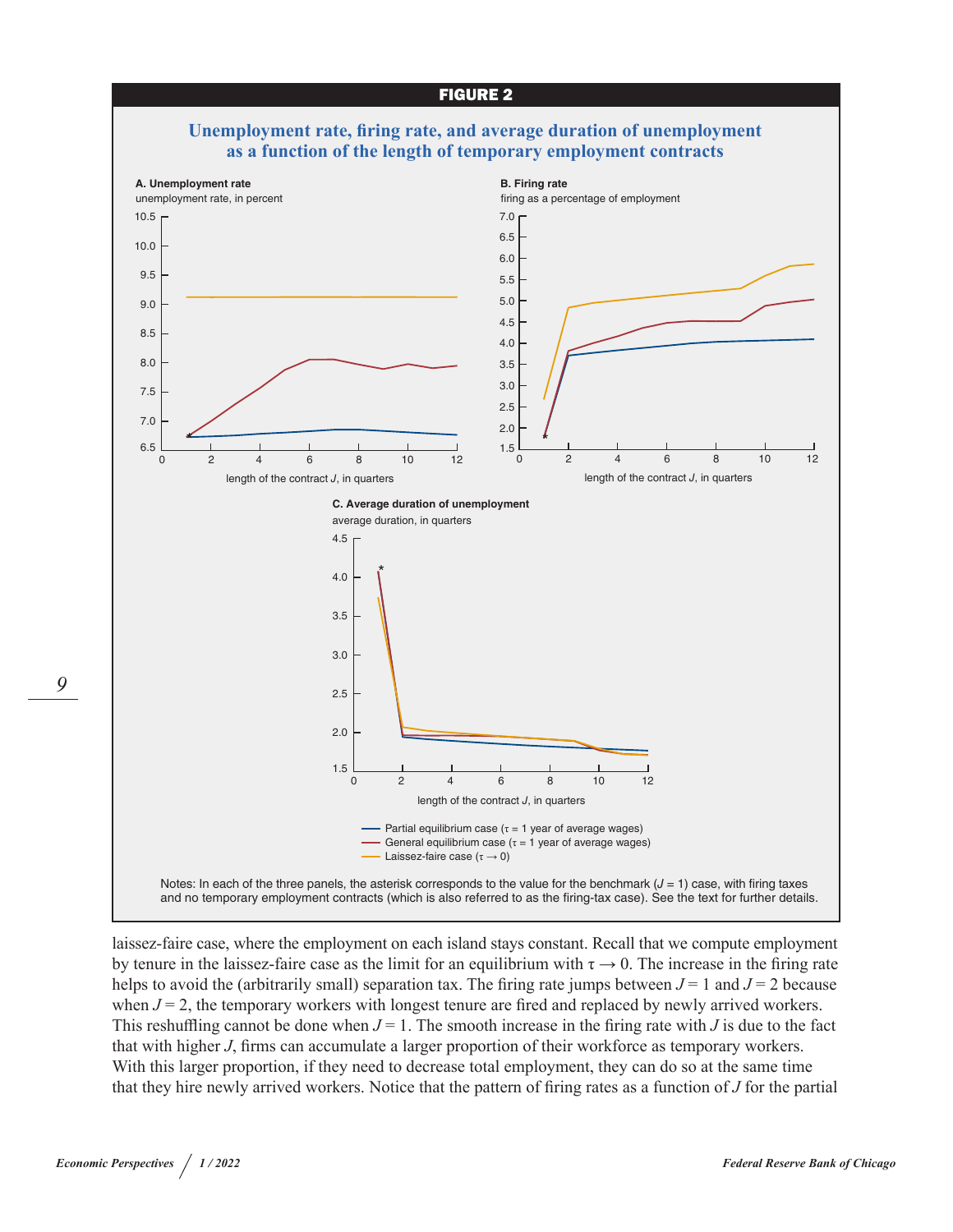

laissez-faire case, where the employment on each island stays constant. Recall that we compute employment by tenure in the laissez-faire case as the limit for an equilibrium with  $\tau \to 0$ . The increase in the firing rate helps to avoid the (arbitrarily small) separation tax. The firing rate jumps between  $J = 1$  and  $J = 2$  because when  $J = 2$ , the temporary workers with longest tenure are fired and replaced by newly arrived workers. This reshuffling cannot be done when  $J = 1$ . The smooth increase in the firing rate with *J* is due to the fact that with higher *J*, firms can accumulate a larger proportion of their workforce as temporary workers. With this larger proportion, if they need to decrease total employment, they can do so at the same time that they hire newly arrived workers. Notice that the pattern of firing rates as a function of *J* for the partial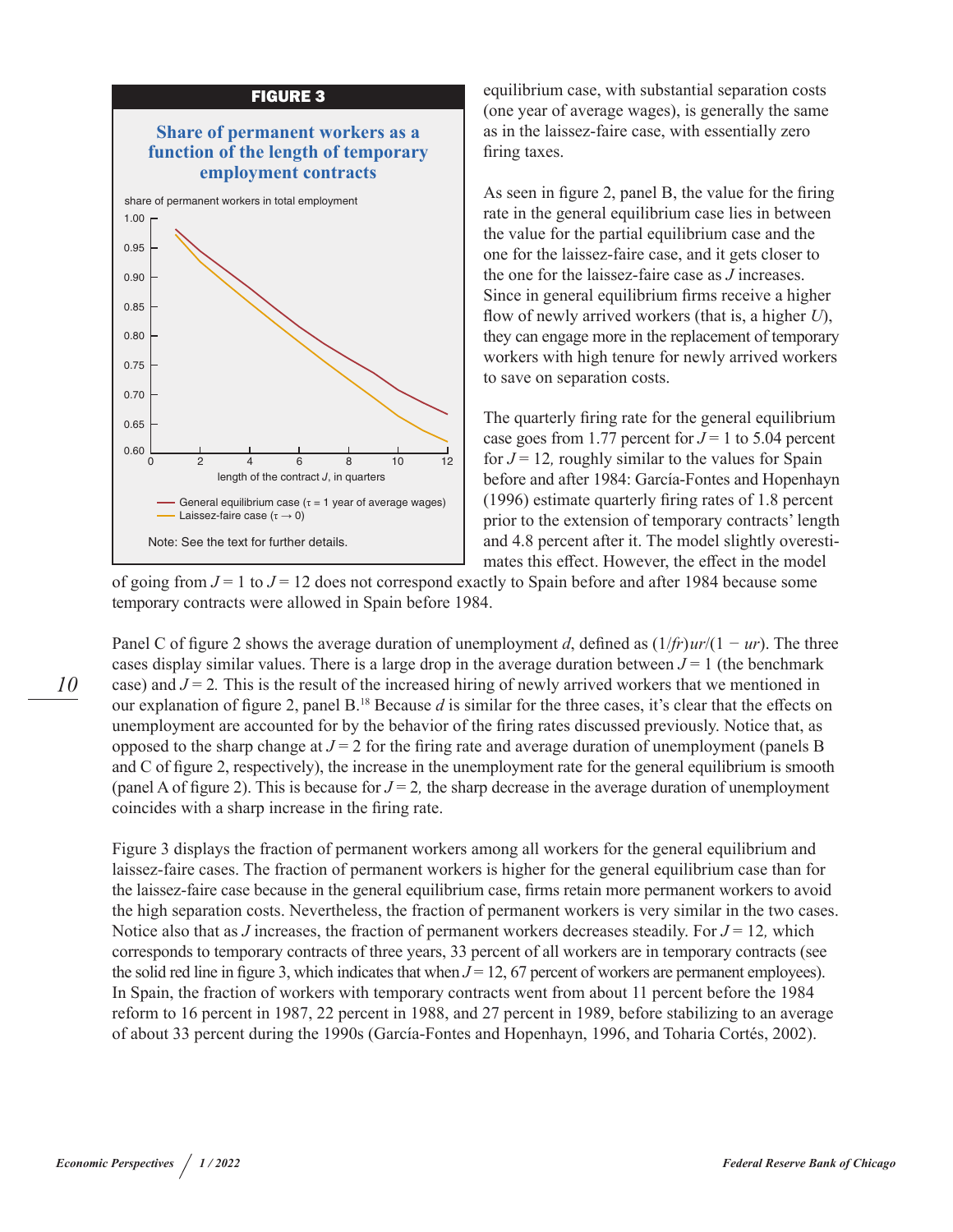



equilibrium case, with substantial separation costs (one year of average wages), is generally the same as in the laissez-faire case, with essentially zero firing taxes.

As seen in figure 2, panel B, the value for the firing rate in the general equilibrium case lies in between the value for the partial equilibrium case and the one for the laissez-faire case, and it gets closer to the one for the laissez-faire case as *J* increases. Since in general equilibrium firms receive a higher flow of newly arrived workers (that is, a higher *U*), they can engage more in the replacement of temporary workers with high tenure for newly arrived workers to save on separation costs.

The quarterly firing rate for the general equilibrium case goes from 1.77 percent for  $J = 1$  to 5.04 percent for  $J = 12$ , roughly similar to the values for Spain before and after 1984: García-Fontes and Hopenhayn (1996) estimate quarterly firing rates of 1.8 percent prior to the extension of temporary contracts' length and 4.8 percent after it. The model slightly overestimates this effect. However, the effect in the model

of going from *J* = 1 to *J* = 12 does not correspond exactly to Spain before and after 1984 because some temporary contracts were allowed in Spain before 1984.

Panel C of figure 2 shows the average duration of unemployment *d*, defined as (1/*fr*) *ur*/(1 *− ur*). The three cases display similar values. There is a large drop in the average duration between  $J = 1$  (the benchmark case) and  $J = 2$ . This is the result of the increased hiring of newly arrived workers that we mentioned in our explanation of figure 2, panel B.<sup>18</sup> Because *d* is similar for the three cases, it's clear that the effects on unemployment are accounted for by the behavior of the firing rates discussed previously. Notice that, as opposed to the sharp change at  $J = 2$  for the firing rate and average duration of unemployment (panels B) and C of figure 2, respectively), the increase in the unemployment rate for the general equilibrium is smooth (panel A of figure 2). This is because for  $J = 2$ , the sharp decrease in the average duration of unemployment coincides with a sharp increase in the firing rate.

Figure 3 displays the fraction of permanent workers among all workers for the general equilibrium and laissez-faire cases. The fraction of permanent workers is higher for the general equilibrium case than for the laissez-faire case because in the general equilibrium case, firms retain more permanent workers to avoid the high separation costs. Nevertheless, the fraction of permanent workers is very similar in the two cases. Notice also that as *J* increases, the fraction of permanent workers decreases steadily. For *J* = 12*,* which corresponds to temporary contracts of three years, 33 percent of all workers are in temporary contracts (see the solid red line in figure 3, which indicates that when  $J = 12, 67$  percent of workers are permanent employees). In Spain, the fraction of workers with temporary contracts went from about 11 percent before the 1984 reform to 16 percent in 1987, 22 percent in 1988, and 27 percent in 1989, before stabilizing to an average of about 33 percent during the 1990s (García-Fontes and Hopenhayn, 1996, and Toharia Cortés, 2002).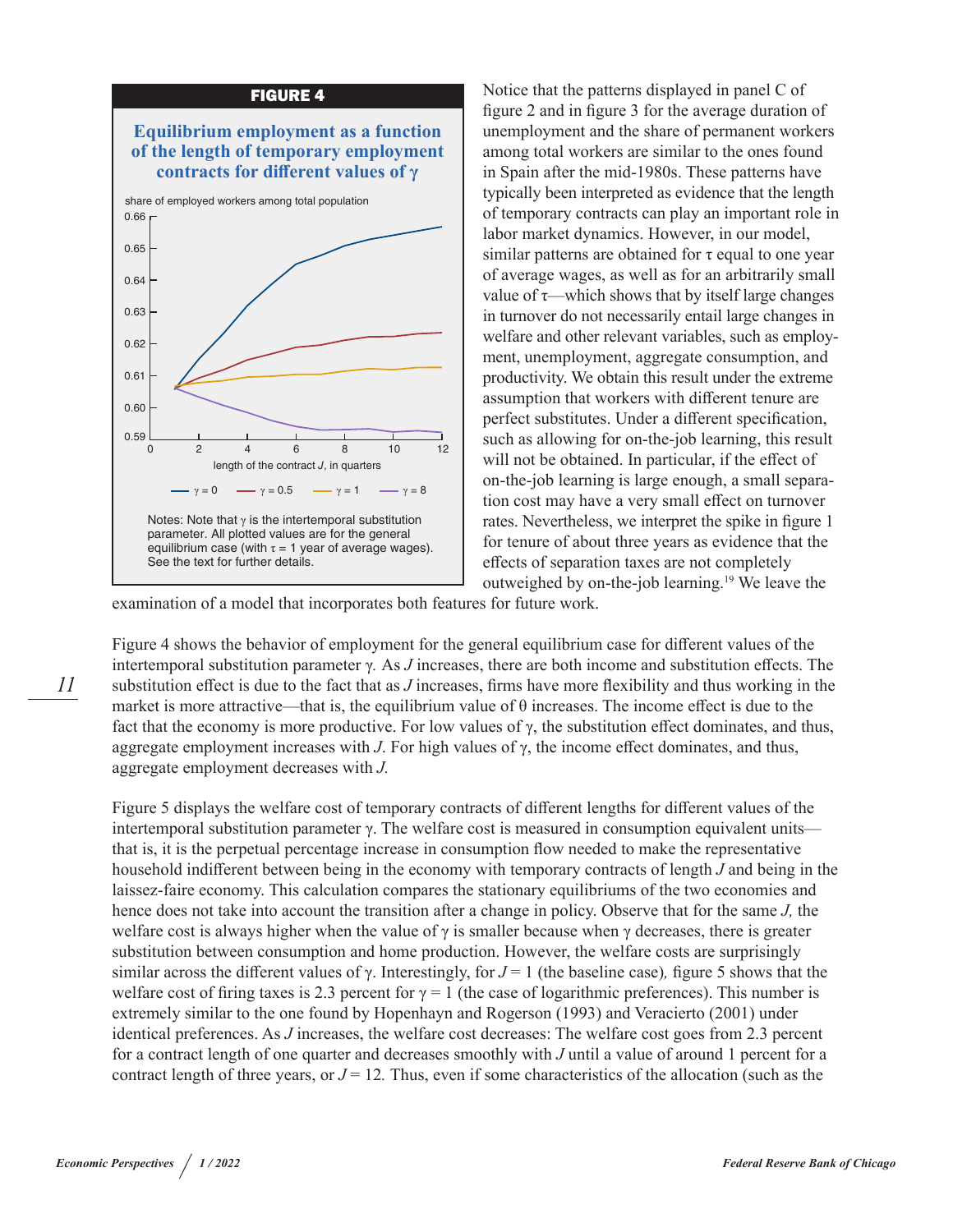

Notice that the patterns displayed in panel C of figure 2 and in figure 3 for the average duration of unemployment and the share of permanent workers among total workers are similar to the ones found in Spain after the mid-1980s. These patterns have typically been interpreted as evidence that the length of temporary contracts can play an important role in labor market dynamics. However, in our model, similar patterns are obtained for  $\tau$  equal to one year of average wages, as well as for an arbitrarily small value of  $\tau$ —which shows that by itself large changes in turnover do not necessarily entail large changes in welfare and other relevant variables, such as employment, unemployment, aggregate consumption, and productivity. We obtain this result under the extreme assumption that workers with different tenure are perfect substitutes. Under a different specification, such as allowing for on-the-job learning, this result will not be obtained. In particular, if the effect of on-the-job learning is large enough, a small separation cost may have a very small effect on turnover rates. Nevertheless, we interpret the spike in figure 1 for tenure of about three years as evidence that the effects of separation taxes are not completely outweighed by on-the-job learning.19 We leave the

examination of a model that incorporates both features for future work.

Figure 4 shows the behavior of employment for the general equilibrium case for different values of the intertemporal substitution parameter γ*.* As *J* increases, there are both income and substitution effects. The substitution effect is due to the fact that as *J* increases, firms have more flexibility and thus working in the market is more attractive—that is, the equilibrium value of  $\theta$  increases. The income effect is due to the fact that the economy is more productive. For low values of  $\gamma$ , the substitution effect dominates, and thus, aggregate employment increases with *J*. For high values of γ, the income effect dominates, and thus, aggregate employment decreases with *J.*

Figure 5 displays the welfare cost of temporary contracts of different lengths for different values of the intertemporal substitution parameter γ. The welfare cost is measured in consumption equivalent units that is, it is the perpetual percentage increase in consumption flow needed to make the representative household indifferent between being in the economy with temporary contracts of length *J* and being in the laissez-faire economy. This calculation compares the stationary equilibriums of the two economies and hence does not take into account the transition after a change in policy. Observe that for the same *J,* the welfare cost is always higher when the value of  $\gamma$  is smaller because when  $\gamma$  decreases, there is greater substitution between consumption and home production. However, the welfare costs are surprisingly similar across the different values of γ. Interestingly, for *J* = 1 (the baseline case)*,* figure 5 shows that the welfare cost of firing taxes is 2.3 percent for  $\gamma = 1$  (the case of logarithmic preferences). This number is extremely similar to the one found by Hopenhayn and Rogerson (1993) and Veracierto (2001) under identical preferences. As *J* increases, the welfare cost decreases: The welfare cost goes from 2.3 percent for a contract length of one quarter and decreases smoothly with *J* until a value of around 1 percent for a contract length of three years, or  $J = 12$ . Thus, even if some characteristics of the allocation (such as the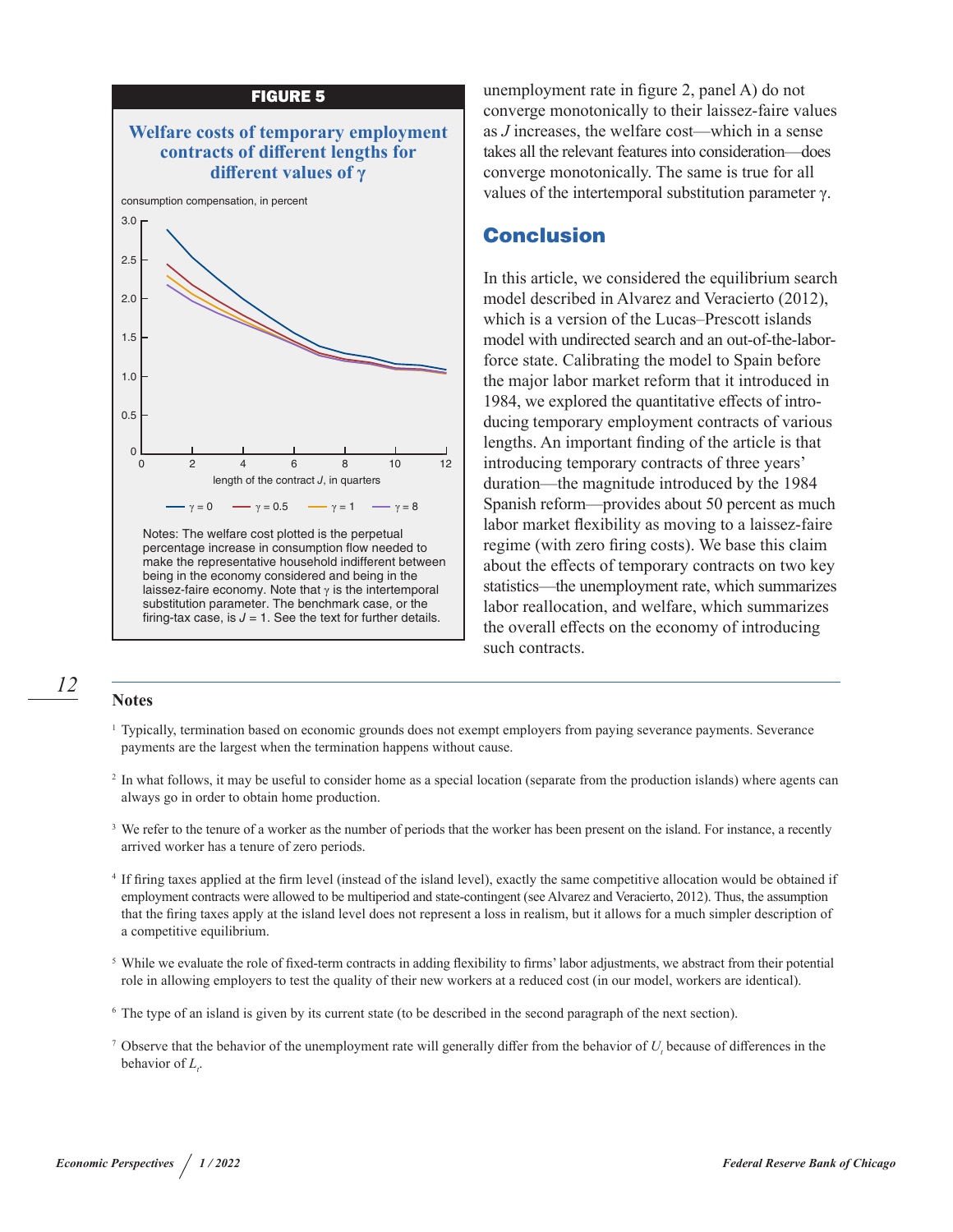

Notes: The welfare cost plotted is the perpetual percentage increase in consumption flow needed to make the representative household indifferent between being in the economy considered and being in the laissez-faire economy. Note that  $\gamma$  is the intertemporal substitution parameter. The benchmark case, or the firing-tax case, is  $J = 1$ . See the text for further details.

unemployment rate in figure 2, panel A) do not converge monotonically to their laissez-faire values as *J* increases, the welfare cost—which in a sense takes all the relevant features into consideration—does converge monotonically. The same is true for all values of the intertemporal substitution parameter γ.

## Conclusion

In this article, we considered the equilibrium search model described in Alvarez and Veracierto (2012), which is a version of the Lucas–Prescott islands model with undirected search and an out-of-the-laborforce state. Calibrating the model to Spain before the major labor market reform that it introduced in 1984, we explored the quantitative effects of introducing temporary employment contracts of various lengths. An important finding of the article is that introducing temporary contracts of three years' duration—the magnitude introduced by the 1984 Spanish reform—provides about 50 percent as much labor market flexibility as moving to a laissez-faire regime (with zero firing costs). We base this claim about the effects of temporary contracts on two key statistics—the unemployment rate, which summarizes labor reallocation, and welfare, which summarizes the overall effects on the economy of introducing such contracts.

## *12*

**Notes**

- <sup>1</sup> Typically, termination based on economic grounds does not exempt employers from paying severance payments. Severance payments are the largest when the termination happens without cause.
- <sup>2</sup> In what follows, it may be useful to consider home as a special location (separate from the production islands) where agents can always go in order to obtain home production.
- <sup>3</sup> We refer to the tenure of a worker as the number of periods that the worker has been present on the island. For instance, a recently arrived worker has a tenure of zero periods.
- <sup>4</sup> If firing taxes applied at the firm level (instead of the island level), exactly the same competitive allocation would be obtained if employment contracts were allowed to be multiperiod and state-contingent (see Alvarez and Veracierto, 2012). Thus, the assumption that the firing taxes apply at the island level does not represent a loss in realism, but it allows for a much simpler description of a competitive equilibrium.
- <sup>5</sup> While we evaluate the role of fixed-term contracts in adding flexibility to firms' labor adjustments, we abstract from their potential role in allowing employers to test the quality of their new workers at a reduced cost (in our model, workers are identical).
- <sup>6</sup> The type of an island is given by its current state (to be described in the second paragraph of the next section).
- <sup>7</sup> Observe that the behavior of the unemployment rate will generally differ from the behavior of  $U<sub>t</sub>$  because of differences in the behavior of  $L_t$ .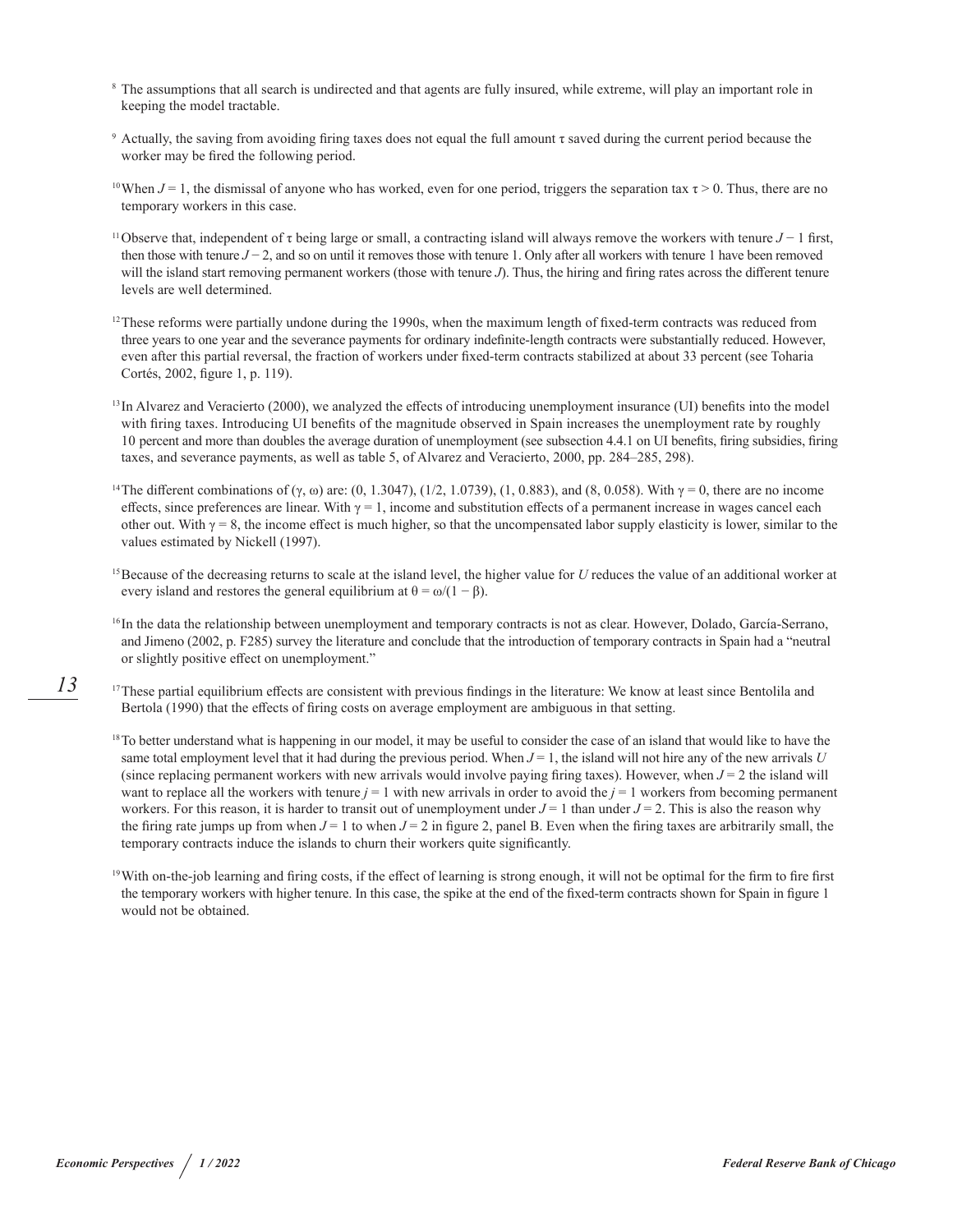- <sup>8</sup> The assumptions that all search is undirected and that agents are fully insured, while extreme, will play an important role in keeping the model tractable.
- <sup>9</sup> Actually, the saving from avoiding firing taxes does not equal the full amount τ saved during the current period because the worker may be fired the following period.
- <sup>10</sup>When  $J = 1$ , the dismissal of anyone who has worked, even for one period, triggers the separation tax  $\tau > 0$ . Thus, there are no temporary workers in this case.
- <sup>11</sup>Observe that, independent of τ being large or small, a contracting island will always remove the workers with tenure *J* − 1 first, then those with tenure *J* − 2, and so on until it removes those with tenure 1. Only after all workers with tenure 1 have been removed will the island start removing permanent workers (those with tenure *J*). Thus, the hiring and firing rates across the different tenure levels are well determined.
- $12$ These reforms were partially undone during the 1990s, when the maximum length of fixed-term contracts was reduced from three years to one year and the severance payments for ordinary indefinite-length contracts were substantially reduced. However, even after this partial reversal, the fraction of workers under fixed-term contracts stabilized at about 33 percent (see Toharia Cortés, 2002, figure 1, p. 119).
- <sup>13</sup> In Alvarez and Veracierto (2000), we analyzed the effects of introducing unemployment insurance (UI) benefits into the model with firing taxes. Introducing UI benefits of the magnitude observed in Spain increases the unemployment rate by roughly 10 percent and more than doubles the average duration of unemployment (see subsection 4.4.1 on UI benefits, firing subsidies, firing taxes, and severance payments, as well as table 5, of Alvarez and Veracierto, 2000, pp. 284–285, 298).
- <sup>14</sup>The different combinations of (γ, ω) are: (0, 1.3047), (1/2, 1.0739), (1, 0.883), and (8, 0.058). With  $\gamma = 0$ , there are no income effects, since preferences are linear. With  $\gamma = 1$ , income and substitution effects of a permanent increase in wages cancel each other out. With  $\gamma = 8$ , the income effect is much higher, so that the uncompensated labor supply elasticity is lower, similar to the values estimated by Nickell (1997).
- <sup>15</sup> Because of the decreasing returns to scale at the island level, the higher value for *U* reduces the value of an additional worker at every island and restores the general equilibrium at  $\theta = \omega/(1 - \beta)$ .
- <sup>16</sup> In the data the relationship between unemployment and temporary contracts is not as clear. However, Dolado, García-Serrano, and Jimeno (2002, p. F285) survey the literature and conclude that the introduction of temporary contracts in Spain had a "neutral or slightly positive effect on unemployment."
- <sup>17</sup>These partial equilibrium effects are consistent with previous findings in the literature: We know at least since Bentolila and Bertola (1990) that the effects of firing costs on average employment are ambiguous in that setting.
- <sup>18</sup>To better understand what is happening in our model, it may be useful to consider the case of an island that would like to have the same total employment level that it had during the previous period. When  $J = 1$ , the island will not hire any of the new arrivals  $U$ (since replacing permanent workers with new arrivals would involve paying firing taxes). However, when  $J = 2$  the island will want to replace all the workers with tenure  $j = 1$  with new arrivals in order to avoid the  $j = 1$  workers from becoming permanent workers. For this reason, it is harder to transit out of unemployment under  $J = 1$  than under  $J = 2$ . This is also the reason why the firing rate jumps up from when  $J = 1$  to when  $J = 2$  in figure 2, panel B. Even when the firing taxes are arbitrarily small, the temporary contracts induce the islands to churn their workers quite significantly.
- <sup>19</sup>With on-the-job learning and firing costs, if the effect of learning is strong enough, it will not be optimal for the firm to fire first the temporary workers with higher tenure. In this case, the spike at the end of the fixed-term contracts shown for Spain in figure 1 would not be obtained.

*13*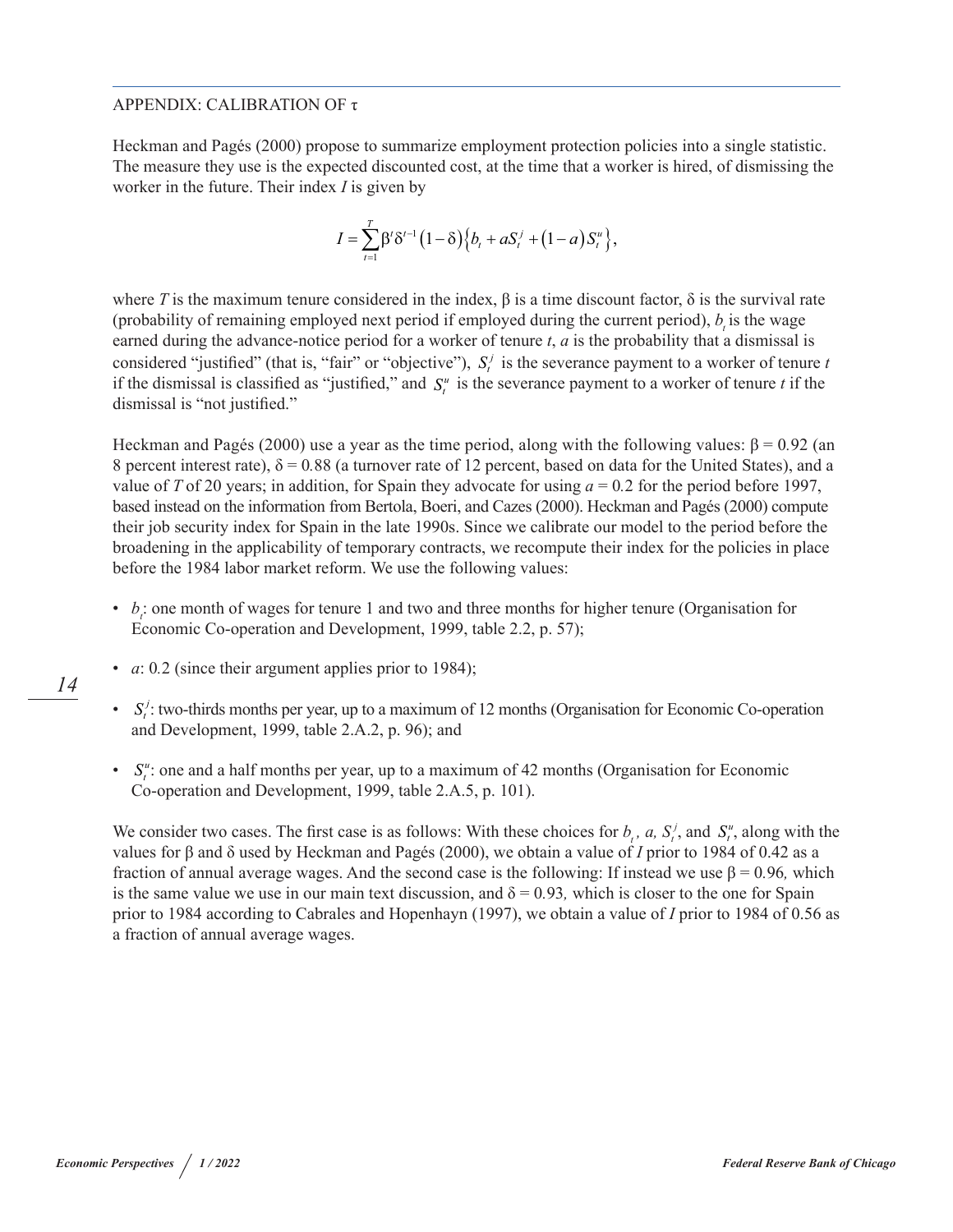#### APPENDIX: CALIBRATION OF τ

Heckman and Pagés (2000) propose to summarize employment protection policies into a single statistic. The measure they use is the expected discounted cost, at the time that a worker is hired, of dismissing the worker in the future. Their index *I* is given by

$$
I = \sum_{t=1}^{T} \beta' \delta'^{-1} (1-\delta) \Big\{ b_t + a S_t^{j} + (1-a) S_t^{u} \Big\},\,
$$

where *T* is the maximum tenure considered in the index,  $\beta$  is a time discount factor,  $\delta$  is the survival rate (probability of remaining employed next period if employed during the current period),  $b<sub>i</sub>$  is the wage earned during the advance-notice period for a worker of tenure *t*, *a* is the probability that a dismissal is considered "justified" (that is, "fair" or "objective"),  $S_t^j$  is the severance payment to a worker of tenure  $t$ if the dismissal is classified as "justified," and  $S_t^u$  is the severance payment to a worker of tenure *t* if the dismissal is "not justified."

Heckman and Pagés (2000) use a year as the time period, along with the following values: β = 0*.*92 (an 8 percent interest rate),  $\delta = 0.88$  (a turnover rate of 12 percent, based on data for the United States), and a value of *T* of 20 years; in addition, for Spain they advocate for using *a* = 0*.*2 for the period before 1997, based instead on the information from Bertola, Boeri, and Cazes (2000). Heckman and Pagés (2000) compute their job security index for Spain in the late 1990s. Since we calibrate our model to the period before the broadening in the applicability of temporary contracts, we recompute their index for the policies in place before the 1984 labor market reform. We use the following values:

- *b<sub>i</sub>*: one month of wages for tenure 1 and two and three months for higher tenure (Organisation for Economic Co-operation and Development, 1999, table 2.2, p. 57);
- *a*: 0*.*2 (since their argument applies prior to 1984);
- $S_i^j$ : two-thirds months per year, up to a maximum of 12 months (Organisation for Economic Co-operation and Development, 1999, table 2.A.2, p. 96); and
- $S_i^u$ : one and a half months per year, up to a maximum of 42 months (Organisation for Economic Co-operation and Development, 1999, table 2.A.5, p. 101).

We consider two cases. The first case is as follows: With these choices for  $b_t$ ,  $a$ ,  $S_t^j$ , and  $S_t^u$ , along with the values for β and δ used by Heckman and Pagés (2000), we obtain a value of *I* prior to 1984 of 0.42 as a fraction of annual average wages. And the second case is the following: If instead we use β = 0*.*96*,* which is the same value we use in our main text discussion, and  $\delta = 0.93$ , which is closer to the one for Spain prior to 1984 according to Cabrales and Hopenhayn (1997), we obtain a value of *I* prior to 1984 of 0.56 as a fraction of annual average wages.

*14*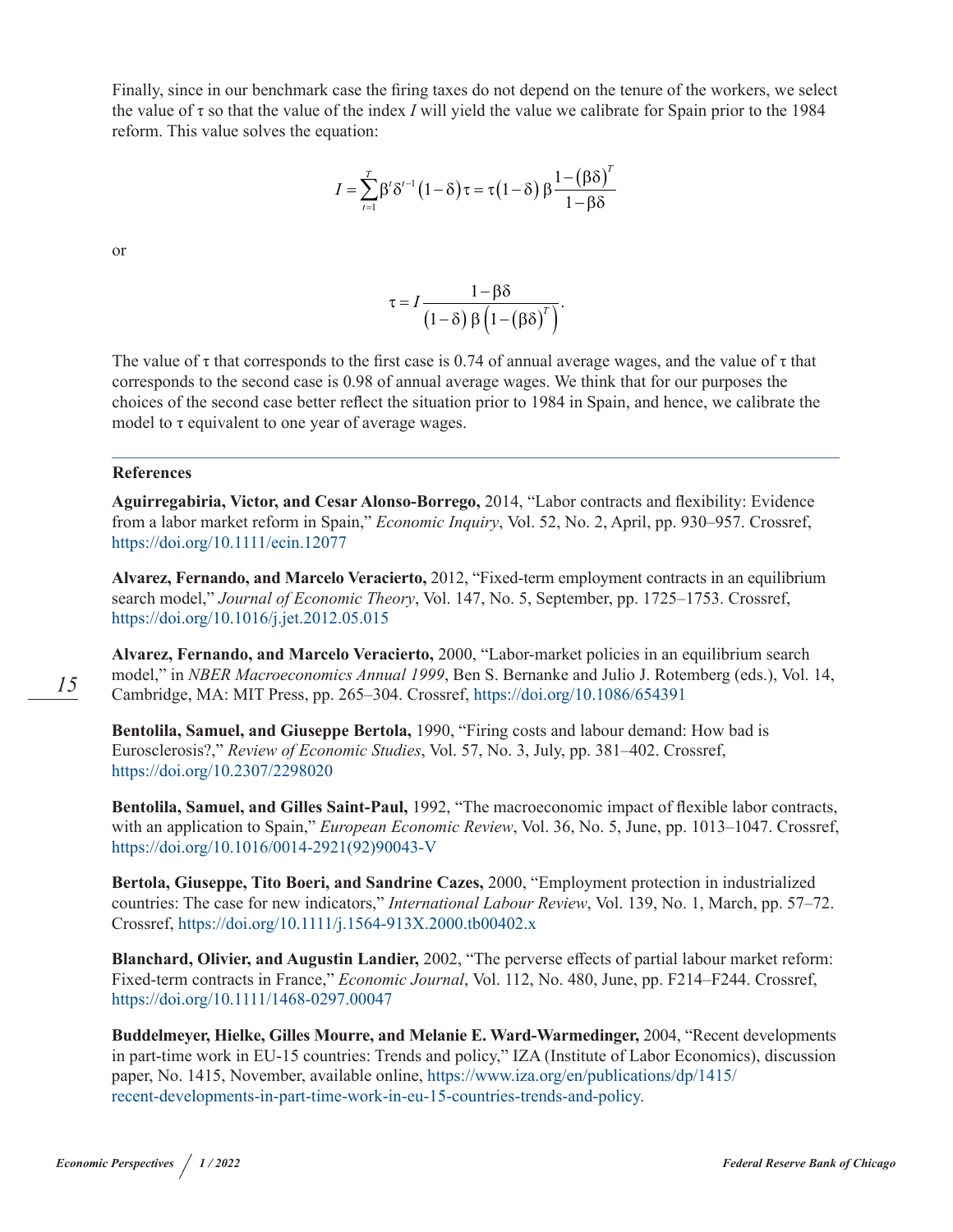Finally, since in our benchmark case the firing taxes do not depend on the tenure of the workers, we select the value of τ so that the value of the index *I* will yield the value we calibrate for Spain prior to the 1984 reform. This value solves the equation:

$$
I = \sum_{t=1}^{T} \beta' \delta'^{-1} (1 - \delta) \tau = \tau (1 - \delta) \beta \frac{1 - (\beta \delta)^{T}}{1 - \beta \delta}
$$

or

$$
\tau = I \frac{1 - \beta \delta}{\left(1 - \delta\right) \beta \left(1 - \left(\beta \delta\right)^{T}\right)}.
$$

The value of  $\tau$  that corresponds to the first case is 0.74 of annual average wages, and the value of  $\tau$  that corresponds to the second case is 0.98 of annual average wages. We think that for our purposes the choices of the second case better reflect the situation prior to 1984 in Spain, and hence, we calibrate the model to τ equivalent to one year of average wages.

#### **References**

**Aguirregabiria, Victor, and Cesar Alonso-Borrego,** 2014, "Labor contracts and flexibility: Evidence from a labor market reform in Spain," *Economic Inquiry*, Vol. 52, No. 2, April, pp. 930–957. Crossref, <https://doi.org/10.1111/ecin.12077>

**Alvarez, Fernando, and Marcelo Veracierto,** 2012, "Fixed-term employment contracts in an equilibrium search model," *Journal of Economic Theory*, Vol. 147, No. 5, September, pp. 1725–1753. Crossref, <https://doi.org/10.1016/j.jet.2012.05.015>

**Alvarez, Fernando, and Marcelo Veracierto,** 2000, "Labor-market policies in an equilibrium search model," in *NBER Macroeconomics Annual 1999*, Ben S. Bernanke and Julio J. Rotemberg (eds.), Vol. 14, Cambridge, MA: MIT Press, pp. 265–304. Crossref,<https://doi.org/10.1086/654391>

**Bentolila, Samuel, and Giuseppe Bertola,** 1990, "Firing costs and labour demand: How bad is Eurosclerosis?," *Review of Economic Studies*, Vol. 57, No. 3, July, pp. 381–402. Crossref, <https://doi.org/10.2307/2298020>

**Bentolila, Samuel, and Gilles Saint-Paul,** 1992, "The macroeconomic impact of flexible labor contracts, with an application to Spain," *European Economic Review*, Vol. 36, No. 5, June, pp. 1013–1047. Crossref, [https://doi.org/10.1016/0014-2921\(92\)90043-V](https://doi.org/10.1016/0014-2921(92)90043-V)

**Bertola, Giuseppe, Tito Boeri, and Sandrine Cazes,** 2000, "Employment protection in industrialized countries: The case for new indicators," *International Labour Review*, Vol. 139, No. 1, March, pp. 57–72. Crossref, <https://doi.org/10.1111/j.1564-913X.2000.tb00402.x>

**Blanchard, Olivier, and Augustin Landier,** 2002, "The perverse effects of partial labour market reform: Fixed-term contracts in France," *Economic Journal*, Vol. 112, No. 480, June, pp. F214–F244. Crossref, <https://doi.org/10.1111/1468-0297.00047>

**Buddelmeyer, Hielke, Gilles Mourre, and Melanie E. Ward-Warmedinger,** 2004, "Recent developments in part-time work in EU-15 countries: Trends and policy," IZA (Institute of Labor Economics), discussion paper, No. 1415, November, available online, [https://www.iza.org/en/publications/dp/1415/](https://www.iza.org/en/publications/dp/1415/recent-developments-in-part-time-work-in-eu-15-countries-trends-and-policy) [recent-developments-in-part-time-work-in-eu-15-countries-trends-and-policy](https://www.iza.org/en/publications/dp/1415/recent-developments-in-part-time-work-in-eu-15-countries-trends-and-policy).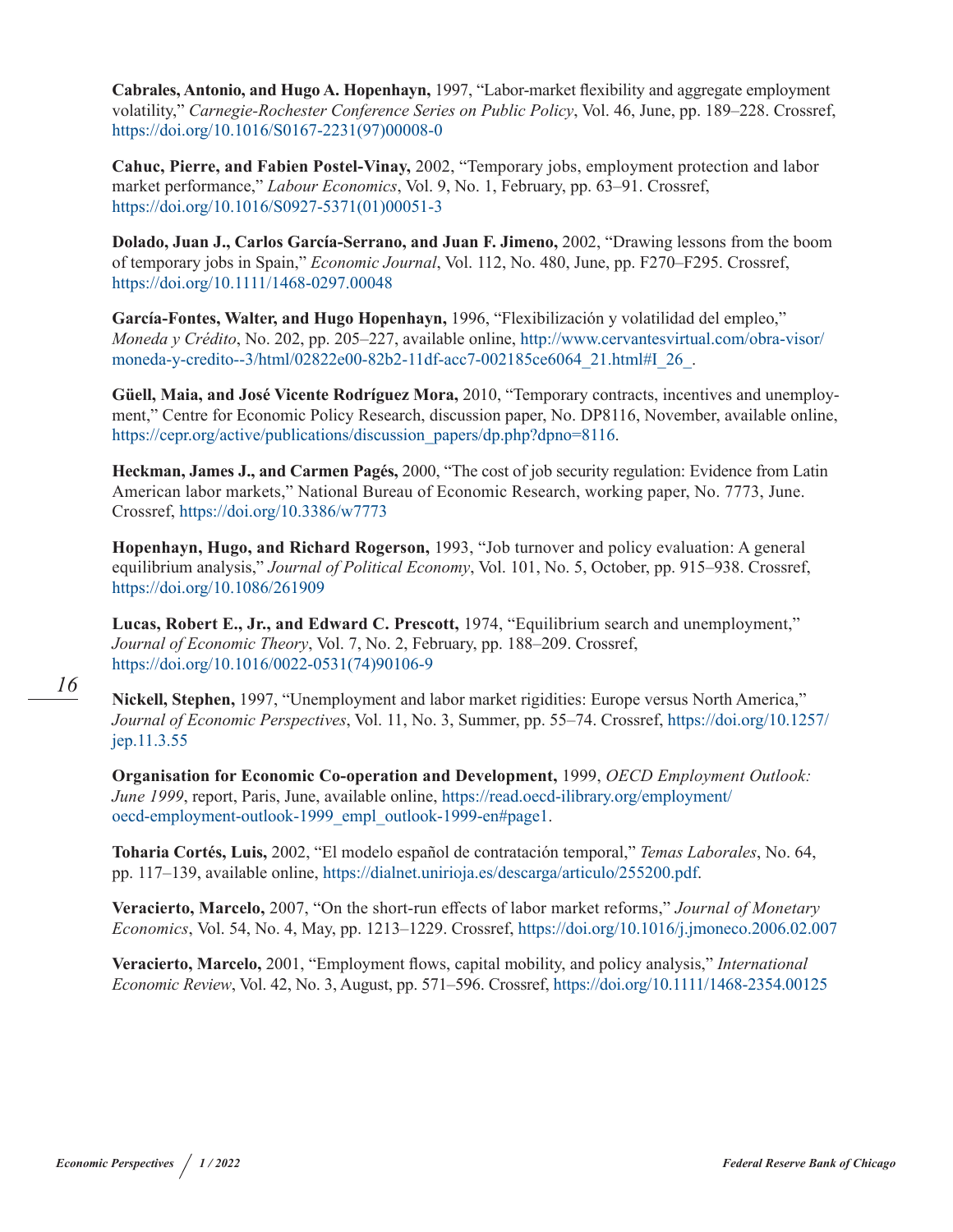**Cabrales, Antonio, and Hugo A. Hopenhayn,** 1997, "Labor-market flexibility and aggregate employment volatility," *Carnegie-Rochester Conference Series on Public Policy*, Vol. 46, June, pp. 189–228. Crossref, [https://doi.org/10.1016/S0167-2231\(97\)00008-0](https://doi.org/10.1016/S0167-2231(97)00008-0)

**Cahuc, Pierre, and Fabien Postel-Vinay,** 2002, "Temporary jobs, employment protection and labor market performance," *Labour Economics*, Vol. 9, No. 1, February, pp. 63–91. Crossref, [https://doi.org/10.1016/S0927-5371\(01\)00051-3](https://doi.org/10.1016/S0927-5371(01)00051-3)

**Dolado, Juan J., Carlos García-Serrano, and Juan F. Jimeno,** 2002, "Drawing lessons from the boom of temporary jobs in Spain," *Economic Journal*, Vol. 112, No. 480, June, pp. F270–F295. Crossref, <https://doi.org/10.1111/1468-0297.00048>

**García-Fontes, Walter, and Hugo Hopenhayn,** 1996, "Flexibilización y volatilidad del empleo," *Moneda y Crédito*, No. 202, pp. 205–227, available online, [http://www.cervantesvirtual.com/obra-visor/](http://www.cervantesvirtual.com/obra-visor/moneda-y-credito--3/html/02822e00-82b2-11df-acc7-002185ce6064_21.html#I_26_) [moneda-y-credito--3/html/02822e00-82b2-11df-acc7-002185ce6064\\_21.html#I\\_26\\_](http://www.cervantesvirtual.com/obra-visor/moneda-y-credito--3/html/02822e00-82b2-11df-acc7-002185ce6064_21.html#I_26_).

**Güell, Maia, and José Vicente Rodríguez Mora,** 2010, "Temporary contracts, incentives and unemployment," Centre for Economic Policy Research, discussion paper, No. DP8116, November, available online, [https://cepr.org/active/publications/discussion\\_papers/dp.php?dpno=8116](https://cepr.org/active/publications/discussion_papers/dp.php?dpno=8116).

**Heckman, James J., and Carmen Pagés,** 2000, "The cost of job security regulation: Evidence from Latin American labor markets," National Bureau of Economic Research, working paper, No. 7773, June. Crossref,<https://doi.org/10.3386/w7773>

**Hopenhayn, Hugo, and Richard Rogerson,** 1993, "Job turnover and policy evaluation: A general equilibrium analysis," *Journal of Political Economy*, Vol. 101, No. 5, October, pp. 915–938. Crossref, [https://doi.org/10.1086/261909](https://doi.org/10.1086/261909
)

**Lucas, Robert E., Jr., and Edward C. Prescott,** 1974, "Equilibrium search and unemployment," *Journal of Economic Theory*, Vol. 7, No. 2, February, pp. 188–209. Crossref, [https://doi.org/10.1016/0022-0531\(74\)90106-9](https://doi.org/10.1016/0022-0531(74)90106-9)

**Nickell, Stephen,** 1997, "Unemployment and labor market rigidities: Europe versus North America," *Journal of Economic Perspectives*, Vol. 11, No. 3, Summer, pp. 55–74. Crossref, [https://doi.org/10.1257/](https://doi.org/10.1257/jep.11.3.55
) [jep.11.3.55](https://doi.org/10.1257/jep.11.3.55
)

**Organisation for Economic Co-operation and Development,** 1999, *OECD Employment Outlook: June 1999*, report, Paris, June, available online, [https://read.oecd-ilibrary.org/employment/](https://read.oecd-ilibrary.org/employment/oecd-employment-outlook-1999_empl_outlook-1999-en#page1) [oecd-employment-outlook-1999\\_empl\\_outlook-1999-en#page1](https://read.oecd-ilibrary.org/employment/oecd-employment-outlook-1999_empl_outlook-1999-en#page1).

**Toharia Cortés, Luis,** 2002, "El modelo español de contratación temporal," *Temas Laborales*, No. 64, pp. 117–139, available online, <https://dialnet.unirioja.es/descarga/articulo/255200.pdf>.

**Veracierto, Marcelo,** 2007, "On the short-run effects of labor market reforms," *Journal of Monetary Economics*, Vol. 54, No. 4, May, pp. 1213–1229. Crossref, <https://doi.org/10.1016/j.jmoneco.2006.02.007>

**Veracierto, Marcelo,** 2001, "Employment flows, capital mobility, and policy analysis," *International Economic Review*, Vol. 42, No. 3, August, pp. 571–596. Crossref, [https://doi.org/10.1111/1468-2354.00125](https://doi.org/10.1111/1468-2354.00125
)